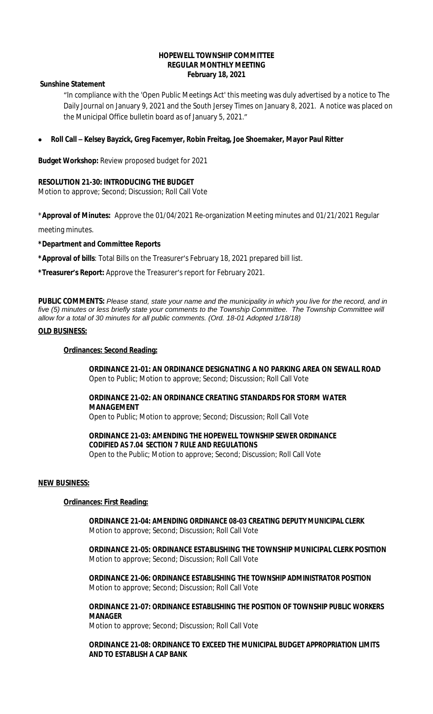### **HOPEWELL TOWNSHIP COMMITTEE REGULAR MONTHLY MEETING February 18, 2021**

### **Sunshine Statement**

"In compliance with the 'Open Public Meetings Act' this meeting was duly advertised by a notice to The Daily Journal on January 9, 2021 and the South Jersey Times on January 8, 2021. A notice was placed on the Municipal Office bulletin board as of January 5, 2021."

**Roll Call – Kelsey Bayzick, Greg Facemyer, Robin Freitag, Joe Shoemaker, Mayor Paul Ritter**

**Budget Workshop:** Review proposed budget for 2021

## **RESOLUTION 21-30: INTRODUCING THE BUDGET**

Motion to approve; Second; Discussion; Roll Call Vote

\***Approval of Minutes:** Approve the 01/04/2021 Re-organization Meeting minutes and 01/21/2021 Regular

meeting minutes.

## **\*Department and Committee Reports**

**\*Approval of bills**: Total Bills on the Treasurer's February 18, 2021 prepared bill list.

**\*Treasurer's Report:** Approve the Treasurer's report for February 2021.

**PUBLIC COMMENTS:** *Please stand, state your name and the municipality in which you live for the record, and in five (5) minutes or less briefly state your comments to the Township Committee. The Township Committee will allow for a total of 30 minutes for all public comments. (Ord. 18-01 Adopted 1/18/18)*

## **OLD BUSINESS:**

### **Ordinances: Second Reading:**

**ORDINANCE 21-01: AN ORDINANCE DESIGNATING A NO PARKING AREA ON SEWALL ROAD** Open to Public; Motion to approve; Second; Discussion; Roll Call Vote

# **ORDINANCE 21-02: AN ORDINANCE CREATING STANDARDS FOR STORM WATER MANAGEMENT**

Open to Public; Motion to approve; Second; Discussion; Roll Call Vote

# **ORDINANCE 21-03: AMENDING THE HOPEWELL TOWNSHIP SEWER ORDINANCE CODIFIED AS 7.04 SECTION 7 RULE AND REGULATIONS**

Open to the Public; Motion to approve; Second; Discussion; Roll Call Vote

### **NEW BUSINESS:**

### **Ordinances: First Reading:**

**ORDINANCE 21-04: AMENDING ORDINANCE 08-03 CREATING DEPUTY MUNICIPAL CLERK** Motion to approve; Second; Discussion; Roll Call Vote

**ORDINANCE 21-05: ORDINANCE ESTABLISHING THE TOWNSHIP MUNICIPAL CLERK POSITION** Motion to approve; Second; Discussion; Roll Call Vote

**ORDINANCE 21-06: ORDINANCE ESTABLISHING THE TOWNSHIP ADMINISTRATOR POSITION** Motion to approve; Second; Discussion; Roll Call Vote

**ORDINANCE 21-07: ORDINANCE ESTABLISHING THE POSITION OF TOWNSHIP PUBLIC WORKERS MANAGER**

Motion to approve; Second; Discussion; Roll Call Vote

**ORDINANCE 21-08: ORDINANCE TO EXCEED THE MUNICIPAL BUDGET APPROPRIATION LIMITS AND TO ESTABLISH A CAP BANK**